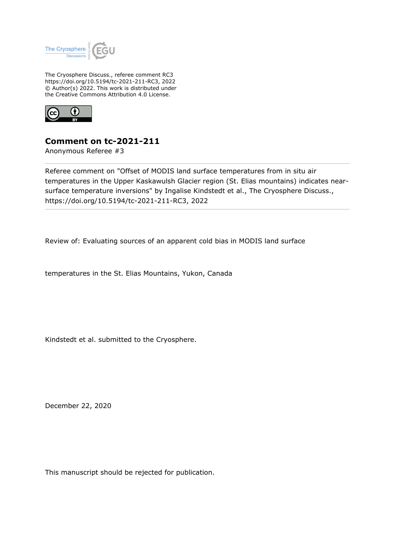

The Cryosphere Discuss., referee comment RC3 https://doi.org/10.5194/tc-2021-211-RC3, 2022 © Author(s) 2022. This work is distributed under the Creative Commons Attribution 4.0 License.



## **Comment on tc-2021-211**

Anonymous Referee #3

Referee comment on "Offset of MODIS land surface temperatures from in situ air temperatures in the Upper Kaskawulsh Glacier region (St. Elias mountains) indicates nearsurface temperature inversions" by Ingalise Kindstedt et al., The Cryosphere Discuss., https://doi.org/10.5194/tc-2021-211-RC3, 2022

Review of: Evaluating sources of an apparent cold bias in MODIS land surface

temperatures in the St. Elias Mountains, Yukon, Canada

Kindstedt et al. submitted to the Cryosphere.

December 22, 2020

This manuscript should be rejected for publication.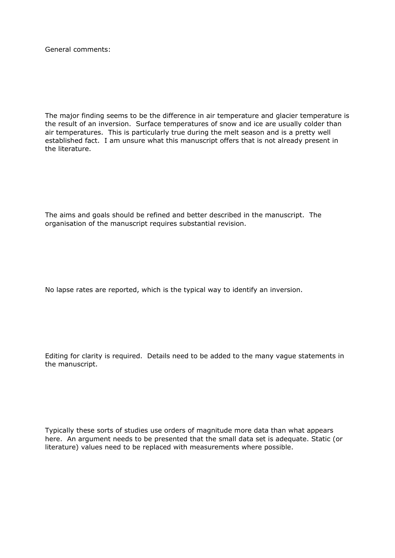General comments:

The major finding seems to be the difference in air temperature and glacier temperature is the result of an inversion. Surface temperatures of snow and ice are usually colder than air temperatures. This is particularly true during the melt season and is a pretty well established fact. I am unsure what this manuscript offers that is not already present in the literature.

The aims and goals should be refined and better described in the manuscript. The organisation of the manuscript requires substantial revision.

No lapse rates are reported, which is the typical way to identify an inversion.

Editing for clarity is required. Details need to be added to the many vague statements in the manuscript.

Typically these sorts of studies use orders of magnitude more data than what appears here. An argument needs to be presented that the small data set is adequate. Static (or literature) values need to be replaced with measurements where possible.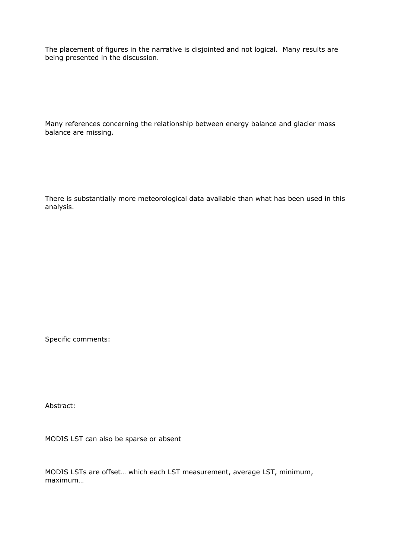The placement of figures in the narrative is disjointed and not logical. Many results are being presented in the discussion.

Many references concerning the relationship between energy balance and glacier mass balance are missing.

There is substantially more meteorological data available than what has been used in this analysis.

Specific comments:

Abstract:

MODIS LST can also be sparse or absent

MODIS LSTs are offset… which each LST measurement, average LST, minimum, maximum…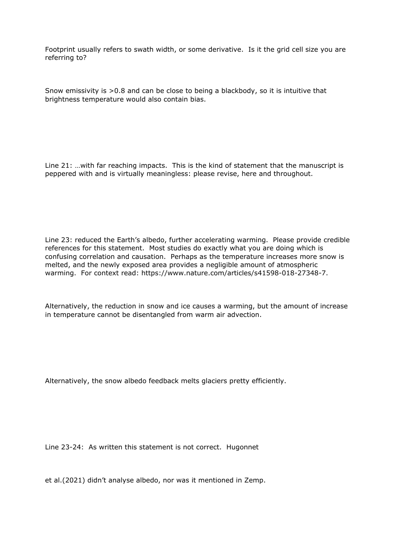Footprint usually refers to swath width, or some derivative. Is it the grid cell size you are referring to?

Snow emissivity is >0.8 and can be close to being a blackbody, so it is intuitive that brightness temperature would also contain bias.

Line 21: …with far reaching impacts. This is the kind of statement that the manuscript is peppered with and is virtually meaningless: please revise, here and throughout.

Line 23: reduced the Earth's albedo, further accelerating warming. Please provide credible references for this statement. Most studies do exactly what you are doing which is confusing correlation and causation. Perhaps as the temperature increases more snow is melted, and the newly exposed area provides a negligible amount of atmospheric warming. For context read: https://www.nature.com/articles/s41598-018-27348-7.

Alternatively, the reduction in snow and ice causes a warming, but the amount of increase in temperature cannot be disentangled from warm air advection.

Alternatively, the snow albedo feedback melts glaciers pretty efficiently.

Line 23-24: As written this statement is not correct. Hugonnet

et al.(2021) didn't analyse albedo, nor was it mentioned in Zemp.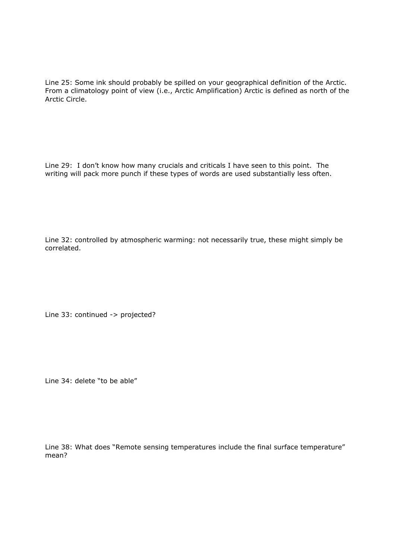Line 25: Some ink should probably be spilled on your geographical definition of the Arctic. From a climatology point of view (i.e., Arctic Amplification) Arctic is defined as north of the Arctic Circle.

Line 29: I don't know how many crucials and criticals I have seen to this point. The writing will pack more punch if these types of words are used substantially less often.

Line 32: controlled by atmospheric warming: not necessarily true, these might simply be correlated.

Line 33: continued -> projected?

Line 34: delete "to be able"

Line 38: What does "Remote sensing temperatures include the final surface temperature" mean?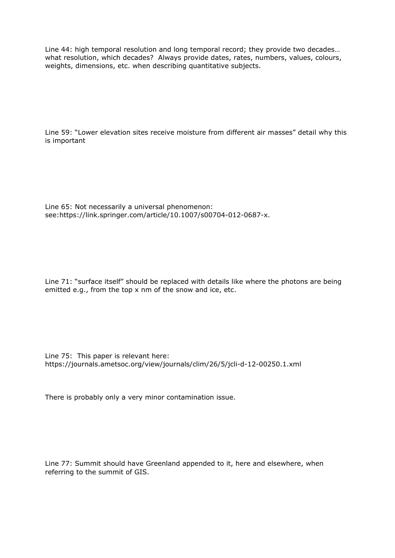Line 44: high temporal resolution and long temporal record; they provide two decades… what resolution, which decades? Always provide dates, rates, numbers, values, colours, weights, dimensions, etc. when describing quantitative subjects.

Line 59: "Lower elevation sites receive moisture from different air masses" detail why this is important

Line 65: Not necessarily a universal phenomenon: see:https://link.springer.com/article/10.1007/s00704-012-0687-x.

Line 71: "surface itself" should be replaced with details like where the photons are being emitted e.g., from the top x nm of the snow and ice, etc.

Line 75: This paper is relevant here: https://journals.ametsoc.org/view/journals/clim/26/5/jcli-d-12-00250.1.xml

There is probably only a very minor contamination issue.

Line 77: Summit should have Greenland appended to it, here and elsewhere, when referring to the summit of GIS.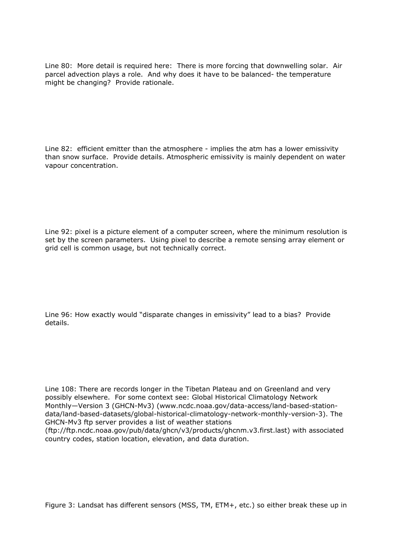Line 80: More detail is required here: There is more forcing that downwelling solar. Air parcel advection plays a role. And why does it have to be balanced- the temperature might be changing? Provide rationale.

Line 82: efficient emitter than the atmosphere - implies the atm has a lower emissivity than snow surface. Provide details. Atmospheric emissivity is mainly dependent on water vapour concentration.

Line 92: pixel is a picture element of a computer screen, where the minimum resolution is set by the screen parameters. Using pixel to describe a remote sensing array element or grid cell is common usage, but not technically correct.

Line 96: How exactly would "disparate changes in emissivity" lead to a bias? Provide details.

Line 108: There are records longer in the Tibetan Plateau and on Greenland and very possibly elsewhere. For some context see: Global Historical Climatology Network Monthly—Version 3 (GHCN-Mv3) (www.ncdc.noaa.gov/data-access/land-based-stationdata/land-based-datasets/global-historical-climatology-network-monthly-version-3). The GHCN-Mv3 ftp server provides a list of weather stations

(ftp://ftp.ncdc.noaa.gov/pub/data/ghcn/v3/products/ghcnm.v3.first.last) with associated country codes, station location, elevation, and data duration.

Figure 3: Landsat has different sensors (MSS, TM, ETM+, etc.) so either break these up in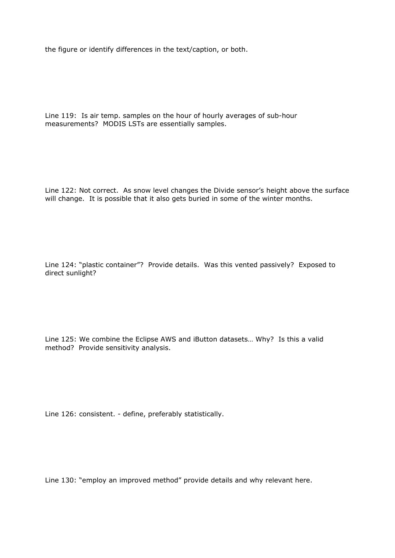the figure or identify differences in the text/caption, or both.

Line 119: Is air temp. samples on the hour of hourly averages of sub-hour measurements? MODIS LSTs are essentially samples.

Line 122: Not correct. As snow level changes the Divide sensor's height above the surface will change. It is possible that it also gets buried in some of the winter months.

Line 124: "plastic container"? Provide details. Was this vented passively? Exposed to direct sunlight?

Line 125: We combine the Eclipse AWS and iButton datasets… Why? Is this a valid method? Provide sensitivity analysis.

Line 126: consistent. - define, preferably statistically.

Line 130: "employ an improved method" provide details and why relevant here.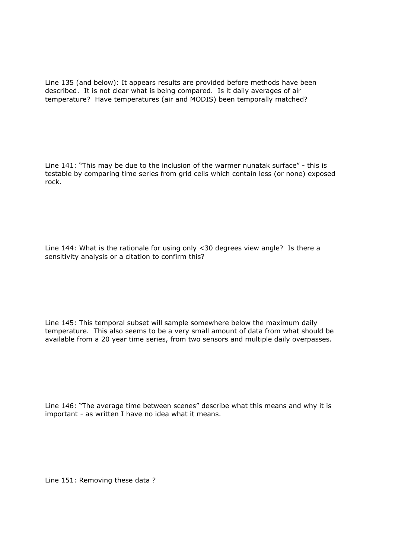Line 135 (and below): It appears results are provided before methods have been described. It is not clear what is being compared. Is it daily averages of air temperature? Have temperatures (air and MODIS) been temporally matched?

Line 141: "This may be due to the inclusion of the warmer nunatak surface" - this is testable by comparing time series from grid cells which contain less (or none) exposed rock.

Line 144: What is the rationale for using only <30 degrees view angle? Is there a sensitivity analysis or a citation to confirm this?

Line 145: This temporal subset will sample somewhere below the maximum daily temperature. This also seems to be a very small amount of data from what should be available from a 20 year time series, from two sensors and multiple daily overpasses.

Line 146: "The average time between scenes" describe what this means and why it is important - as written I have no idea what it means.

Line 151: Removing these data ?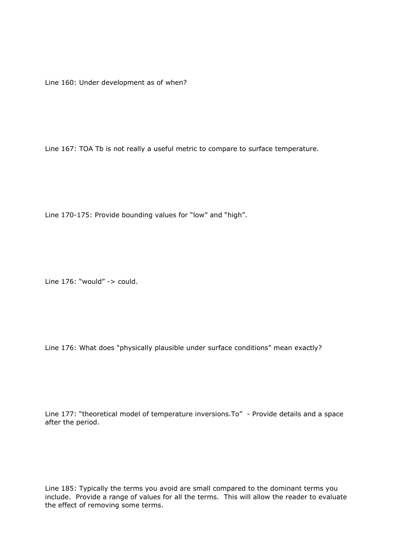Line 160: Under development as of when?

Line 167: TOA Tb is not really a useful metric to compare to surface temperature.

Line 170-175: Provide bounding values for "low" and "high".

Line  $176:$  "would" -> could.

Line 176: What does "physically plausible under surface conditions" mean exactly?

Line 177: "theoretical model of temperature inversions.To" - Provide details and a space after the period.

Line 185: Typically the terms you avoid are small compared to the dominant terms you include. Provide a range of values for all the terms. This will allow the reader to evaluate the effect of removing some terms.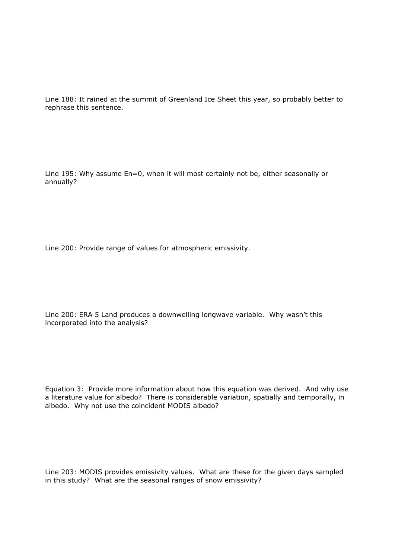Line 188: It rained at the summit of Greenland Ice Sheet this year, so probably better to rephrase this sentence.

Line 195: Why assume En=0, when it will most certainly not be, either seasonally or annually?

Line 200: Provide range of values for atmospheric emissivity.

Line 200: ERA 5 Land produces a downwelling longwave variable. Why wasn't this incorporated into the analysis?

Equation 3: Provide more information about how this equation was derived. And why use a literature value for albedo? There is considerable variation, spatially and temporally, in albedo. Why not use the coincident MODIS albedo?

Line 203: MODIS provides emissivity values. What are these for the given days sampled in this study? What are the seasonal ranges of snow emissivity?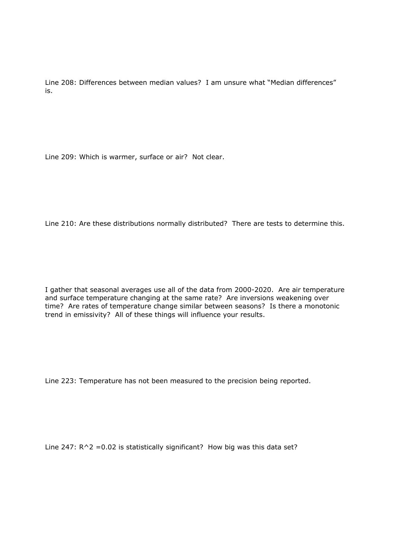Line 208: Differences between median values? I am unsure what "Median differences" is.

Line 209: Which is warmer, surface or air? Not clear.

Line 210: Are these distributions normally distributed? There are tests to determine this.

I gather that seasonal averages use all of the data from 2000-2020. Are air temperature and surface temperature changing at the same rate? Are inversions weakening over time? Are rates of temperature change similar between seasons? Is there a monotonic trend in emissivity? All of these things will influence your results.

Line 223: Temperature has not been measured to the precision being reported.

Line 247:  $R^2 = 0.02$  is statistically significant? How big was this data set?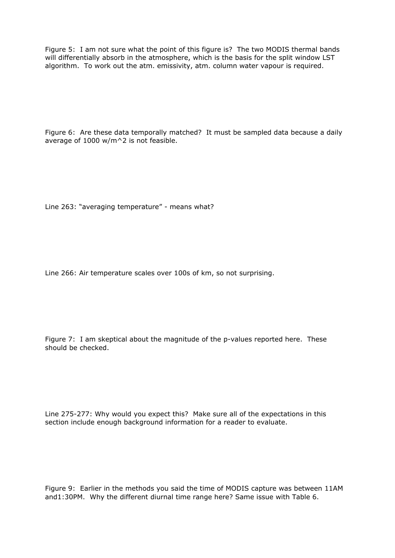Figure 5: I am not sure what the point of this figure is? The two MODIS thermal bands will differentially absorb in the atmosphere, which is the basis for the split window LST algorithm. To work out the atm. emissivity, atm. column water vapour is required.

Figure 6: Are these data temporally matched? It must be sampled data because a daily average of 1000 w/m^2 is not feasible.

Line 263: "averaging temperature" - means what?

Line 266: Air temperature scales over 100s of km, so not surprising.

Figure 7: I am skeptical about the magnitude of the p-values reported here. These should be checked.

Line 275-277: Why would you expect this? Make sure all of the expectations in this section include enough background information for a reader to evaluate.

Figure 9: Earlier in the methods you said the time of MODIS capture was between 11AM and1:30PM. Why the different diurnal time range here? Same issue with Table 6.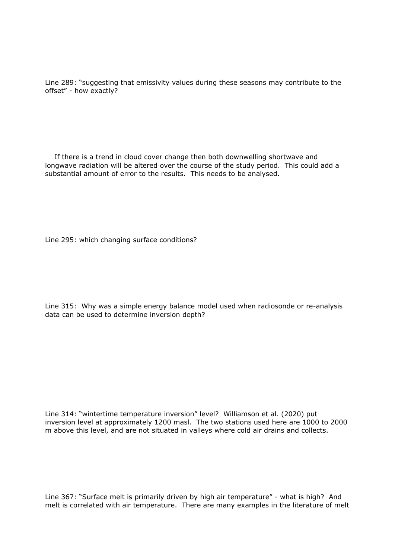Line 289: "suggesting that emissivity values during these seasons may contribute to the offset" - how exactly?

 If there is a trend in cloud cover change then both downwelling shortwave and longwave radiation will be altered over the course of the study period. This could add a substantial amount of error to the results. This needs to be analysed.

Line 295: which changing surface conditions?

Line 315: Why was a simple energy balance model used when radiosonde or re-analysis data can be used to determine inversion depth?

Line 314: "wintertime temperature inversion" level? Williamson et al. (2020) put inversion level at approximately 1200 masl. The two stations used here are 1000 to 2000 m above this level, and are not situated in valleys where cold air drains and collects.

Line 367: "Surface melt is primarily driven by high air temperature" - what is high? And melt is correlated with air temperature. There are many examples in the literature of melt